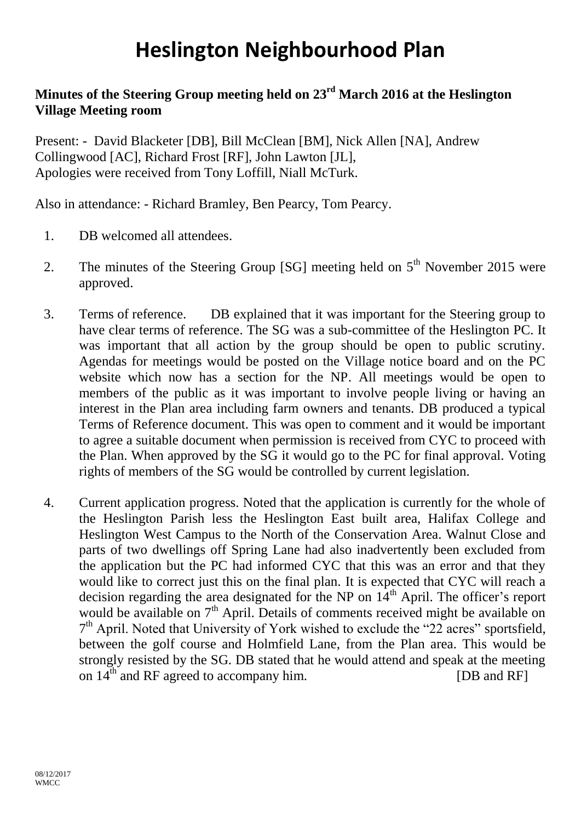## **Heslington Neighbourhood Plan**

## **Minutes of the Steering Group meeting held on 23rd March 2016 at the Heslington Village Meeting room**

Present: - David Blacketer [DB], Bill McClean [BM], Nick Allen [NA], Andrew Collingwood [AC], Richard Frost [RF], John Lawton [JL], Apologies were received from Tony Loffill, Niall McTurk.

Also in attendance: - Richard Bramley, Ben Pearcy, Tom Pearcy.

- 1. DB welcomed all attendees.
- 2. The minutes of the Steering Group [SG] meeting held on  $5<sup>th</sup>$  November 2015 were approved.
- 3. Terms of reference. DB explained that it was important for the Steering group to have clear terms of reference. The SG was a sub-committee of the Heslington PC. It was important that all action by the group should be open to public scrutiny. Agendas for meetings would be posted on the Village notice board and on the PC website which now has a section for the NP. All meetings would be open to members of the public as it was important to involve people living or having an interest in the Plan area including farm owners and tenants. DB produced a typical Terms of Reference document. This was open to comment and it would be important to agree a suitable document when permission is received from CYC to proceed with the Plan. When approved by the SG it would go to the PC for final approval. Voting rights of members of the SG would be controlled by current legislation.
- 4. Current application progress. Noted that the application is currently for the whole of the Heslington Parish less the Heslington East built area, Halifax College and Heslington West Campus to the North of the Conservation Area. Walnut Close and parts of two dwellings off Spring Lane had also inadvertently been excluded from the application but the PC had informed CYC that this was an error and that they would like to correct just this on the final plan. It is expected that CYC will reach a decision regarding the area designated for the NP on  $14<sup>th</sup>$  April. The officer's report would be available on 7<sup>th</sup> April. Details of comments received might be available on 7<sup>th</sup> April. Noted that University of York wished to exclude the "22 acres" sportsfield, between the golf course and Holmfield Lane, from the Plan area. This would be strongly resisted by the SG. DB stated that he would attend and speak at the meeting on  $14<sup>th</sup>$  and RF agreed to accompany him. [DB and RF]